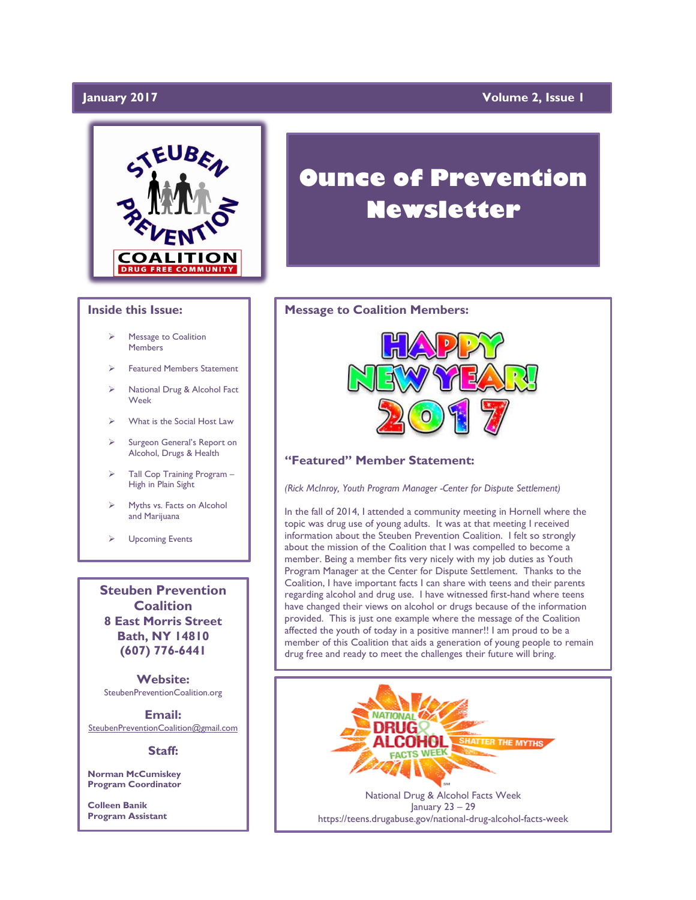### **January 2017 Volume 2, Issue 1**



#### **Inside this Issue:**

- Message to Coalition **Members**
- Featured Members Statement
- National Drug & Alcohol Fact Week
- What is the Social Host Law
- Surgeon General's Report on Alcohol, Drugs & Health
- Tall Cop Training Program High in Plain Sight
- Myths vs. Facts on Alcohol and Marijuana
- Upcoming Events

**Steuben Prevention Coalition 8 East Morris Street Bath, NY 14810 (607) 776-6441**

**Website:**  SteubenPreventionCoalition.org

**Email:**  [SteubenPreventionCoalition@gmail.com](mailto:SteubenPreventionCoalition@gmail.com)

#### **Staff:**

**Norman McCumiskey Program Coordinator**

**Colleen Banik Program Assistant**

# **Ounce of Prevention Newsletter**

#### **Message to Coalition Members:**



### **"Featured" Member Statement:**

*(Rick McInroy, Youth Program Manager -Center for Dispute Settlement)*

In the fall of 2014, I attended a community meeting in Hornell where the topic was drug use of young adults. It was at that meeting I received information about the Steuben Prevention Coalition. I felt so strongly about the mission of the Coalition that I was compelled to become a member. Being a member fits very nicely with my job duties as Youth Program Manager at the Center for Dispute Settlement. Thanks to the Coalition, I have important facts I can share with teens and their parents regarding alcohol and drug use. I have witnessed first-hand where teens have changed their views on alcohol or drugs because of the information provided. This is just one example where the message of the Coalition affected the youth of today in a positive manner!! I am proud to be a member of this Coalition that aids a generation of young people to remain drug free and ready to meet the challenges their future will bring.

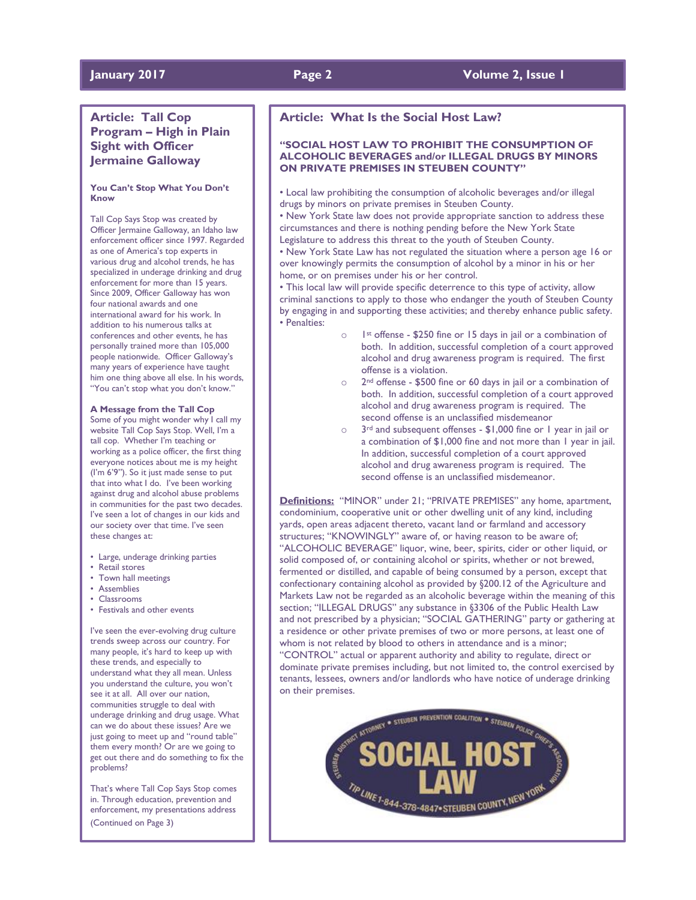### **January 2017 Page 2 Volume 2, Issue 1**

### **Article: Tall Cop Program – High in Plain Sight with Officer Jermaine Galloway**

#### **You Can't Stop What You Don't Know**

Tall Cop Says Stop was created by Officer Jermaine Galloway, an Idaho law enforcement officer since 1997. Regarded as one of America's top experts in various drug and alcohol trends, he has specialized in underage drinking and drug enforcement for more than 15 years. Since 2009, Officer Galloway has won four national awards and one international award for his work. In addition to his numerous talks at conferences and other events, he has personally trained more than 105,000 people nationwide. Officer Galloway's many years of experience have taught him one thing above all else. In his words, "You can't stop what you don't know."

#### **A Message from the Tall Cop**

Some of you might wonder why I call my website Tall Cop Says Stop. Well, I'm a tall cop. Whether I'm teaching or working as a police officer, the first thing everyone notices about me is my height (I'm 6'9"). So it just made sense to put that into what I do. I've been working against drug and alcohol abuse problems in communities for the past two decades. I've seen a lot of changes in our kids and our society over that time. I've seen these changes at:

- Large, underage drinking parties
- Retail stores
- Town hall meetings
- Assemblies
- Classrooms
- Festivals and other events

I've seen the ever-evolving drug culture trends sweep across our country. For many people, it's hard to keep up with these trends, and especially to understand what they all mean. Unless you understand the culture, you won't see it at all. All over our nation, communities struggle to deal with underage drinking and drug usage. What can we do about these issues? Are we just going to meet up and "round table" them every month? Or are we going to get out there and do something to fix the problems?

That's where Tall Cop Says Stop comes in. Through education, prevention and enforcement, my presentations address (Continued on Page 3)

### **Article: What Is the Social Host Law?**

#### **"SOCIAL HOST LAW TO PROHIBIT THE CONSUMPTION OF ALCOHOLIC BEVERAGES and/or ILLEGAL DRUGS BY MINORS ON PRIVATE PREMISES IN STEUBEN COUNTY"**

• Local law prohibiting the consumption of alcoholic beverages and/or illegal drugs by minors on private premises in Steuben County.

• New York State law does not provide appropriate sanction to address these circumstances and there is nothing pending before the New York State Legislature to address this threat to the youth of Steuben County.

• New York State Law has not regulated the situation where a person age 16 or over knowingly permits the consumption of alcohol by a minor in his or her home, or on premises under his or her control.

• This local law will provide specific deterrence to this type of activity, allow criminal sanctions to apply to those who endanger the youth of Steuben County by engaging in and supporting these activities; and thereby enhance public safety. • Penalties:

- 1st offense \$250 fine or 15 days in jail or a combination of both. In addition, successful completion of a court approved alcohol and drug awareness program is required. The first offense is a violation.
- o 2nd offense \$500 fine or 60 days in jail or a combination of both. In addition, successful completion of a court approved alcohol and drug awareness program is required. The second offense is an unclassified misdemeanor
- o 3rd and subsequent offenses \$1,000 fine or 1 year in jail or a combination of \$1,000 fine and not more than 1 year in jail. In addition, successful completion of a court approved alcohol and drug awareness program is required. The second offense is an unclassified misdemeanor.

**Definitions:** "MINOR" under 21; "PRIVATE PREMISES" any home, apartment, condominium, cooperative unit or other dwelling unit of any kind, including yards, open areas adjacent thereto, vacant land or farmland and accessory structures; "KNOWINGLY" aware of, or having reason to be aware of; "ALCOHOLIC BEVERAGE" liquor, wine, beer, spirits, cider or other liquid, or solid composed of, or containing alcohol or spirits, whether or not brewed, fermented or distilled, and capable of being consumed by a person, except that confectionary containing alcohol as provided by §200.12 of the Agriculture and Markets Law not be regarded as an alcoholic beverage within the meaning of this section; "ILLEGAL DRUGS" any substance in §3306 of the Public Health Law and not prescribed by a physician; "SOCIAL GATHERING" party or gathering at a residence or other private premises of two or more persons, at least one of whom is not related by blood to others in attendance and is a minor; "CONTROL" actual or apparent authority and ability to regulate, direct or dominate private premises including, but not limited to, the control exercised by tenants, lessees, owners and/or landlords who have notice of underage drinking on their premises.

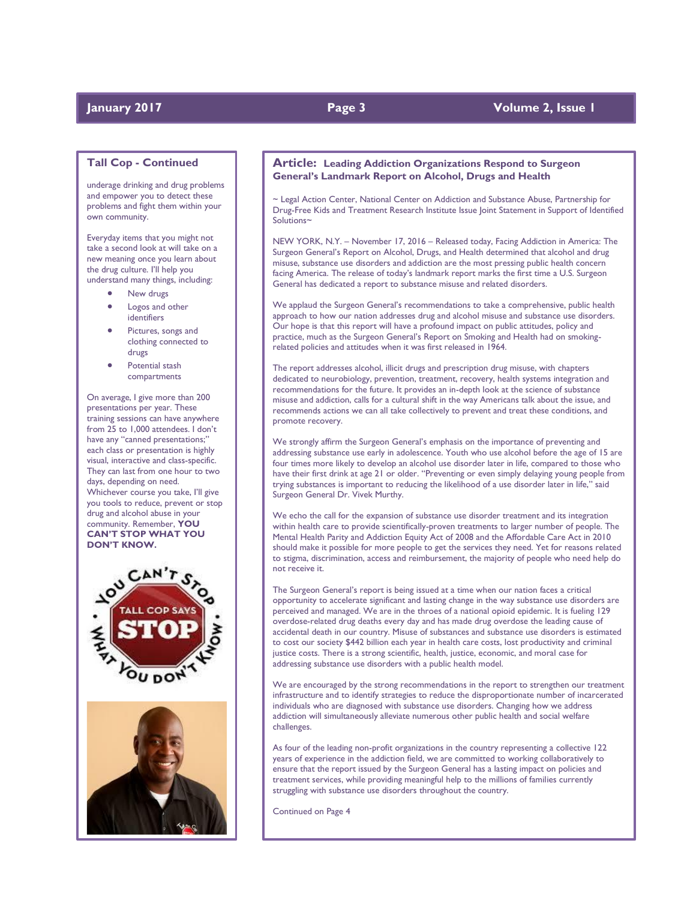### **January 2017 Page 3 Volume 2, Issue 1**

#### **Tall Cop - Continued**

underage drinking and drug problems and empower you to detect these problems and fight them within your own community.

Everyday items that you might not take a second look at will take on a new meaning once you learn about the drug culture. I'll help you understand many things, including:

- New drugs
- Logos and other identifiers
- Pictures, songs and clothing connected to drugs
- Potential stash compartments

On average, I give more than 200 presentations per year. These training sessions can have anywhere from 25 to 1,000 attendees. I don't have any "canned presentations;" each class or presentation is highly visual, interactive and class-specific. They can last from one hour to two days, depending on need. Whichever course you take, I'll give you tools to reduce, prevent or stop drug and alcohol abuse in your community. Remember, **YOU CAN'T STOP WHAT YOU DON'T KNOW.**





#### **Article: Leading Addiction Organizations Respond to Surgeon General's Landmark Report on Alcohol, Drugs and Health**

~ Legal Action Center, National Center on Addiction and Substance Abuse, Partnership for Drug-Free Kids and Treatment Research Institute Issue Joint Statement in Support of Identified Solutions~

NEW YORK, N.Y. – November 17, 2016 – Released today, Facing Addiction in America: The Surgeon General's Report on Alcohol, Drugs, and Health determined that alcohol and drug misuse, substance use disorders and addiction are the most pressing public health concern facing America. The release of today's landmark report marks the first time a U.S. Surgeon General has dedicated a report to substance misuse and related disorders.

We applaud the Surgeon General's recommendations to take a comprehensive, public health approach to how our nation addresses drug and alcohol misuse and substance use disorders. Our hope is that this report will have a profound impact on public attitudes, policy and practice, much as the Surgeon General's Report on Smoking and Health had on smokingrelated policies and attitudes when it was first released in 1964.

The report addresses alcohol, illicit drugs and prescription drug misuse, with chapters dedicated to neurobiology, prevention, treatment, recovery, health systems integration and recommendations for the future. It provides an in-depth look at the science of substance misuse and addiction, calls for a cultural shift in the way Americans talk about the issue, and recommends actions we can all take collectively to prevent and treat these conditions, and promote recovery.

We strongly affirm the Surgeon General's emphasis on the importance of preventing and addressing substance use early in adolescence. Youth who use alcohol before the age of 15 are four times more likely to develop an alcohol use disorder later in life, compared to those who have their first drink at age 21 or older. "Preventing or even simply delaying young people from trying substances is important to reducing the likelihood of a use disorder later in life," said Surgeon General Dr. Vivek Murthy.

We echo the call for the expansion of substance use disorder treatment and its integration within health care to provide scientifically-proven treatments to larger number of people. The Mental Health Parity and Addiction Equity Act of 2008 and the Affordable Care Act in 2010 should make it possible for more people to get the services they need. Yet for reasons related to stigma, discrimination, access and reimbursement, the majority of people who need help do not receive it.

The Surgeon General's report is being issued at a time when our nation faces a critical opportunity to accelerate significant and lasting change in the way substance use disorders are perceived and managed. We are in the throes of a national opioid epidemic. It is fueling 129 overdose-related drug deaths every day and has made drug overdose the leading cause of accidental death in our country. Misuse of substances and substance use disorders is estimated to cost our society \$442 billion each year in health care costs, lost productivity and criminal justice costs. There is a strong scientific, health, justice, economic, and moral case for addressing substance use disorders with a public health model.

We are encouraged by the strong recommendations in the report to strengthen our treatment infrastructure and to identify strategies to reduce the disproportionate number of incarcerated individuals who are diagnosed with substance use disorders. Changing how we address addiction will simultaneously alleviate numerous other public health and social welfare challenges.

As four of the leading non-profit organizations in the country representing a collective 122 years of experience in the addiction field, we are committed to working collaboratively to ensure that the report issued by the Surgeon General has a lasting impact on policies and treatment services, while providing meaningful help to the millions of families currently struggling with substance use disorders throughout the country.

Continued on Page 4